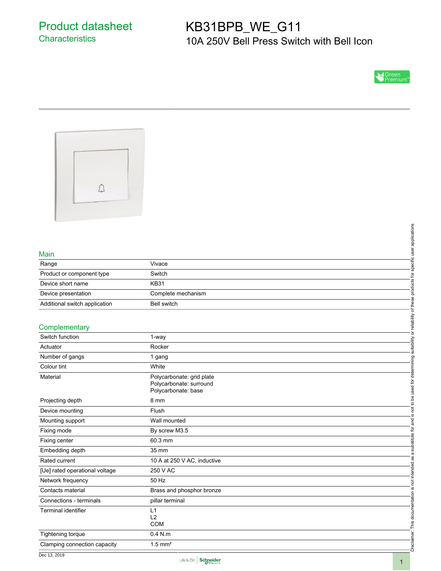# KB31BPB\_WE\_G11 10A 250V Bell Press Switch with Bell Icon





### Main

|                               |                    | pplications |
|-------------------------------|--------------------|-------------|
|                               |                    |             |
| Main                          |                    |             |
| Range                         | Vivace             |             |
| Product or component type     | Switch             |             |
| Device short name             | <b>KB31</b>        |             |
| Device presentation           | Complete mechanism |             |
| Additional switch application | <b>Bell switch</b> |             |
| Complementary                 |                    | eliability  |
| $\sim$ $\sim$ $\sim$ $\sim$   |                    | $\circ$     |

#### **Complementary**

|                                |                                                      | specific user applications          |
|--------------------------------|------------------------------------------------------|-------------------------------------|
| Main                           |                                                      |                                     |
| Range                          | Vivace                                               |                                     |
| Product or component type      | Switch                                               |                                     |
| Device short name              | <b>KB31</b>                                          | products for                        |
| Device presentation            | Complete mechanism                                   |                                     |
| Additional switch application  | <b>Bell switch</b>                                   |                                     |
|                                |                                                      | suitability or reliability of these |
| Complementary                  |                                                      |                                     |
| Switch function                | 1-way                                                |                                     |
| Actuator                       | Rocker                                               |                                     |
| Number of gangs                | 1 gang                                               |                                     |
| Colour tint                    | White                                                |                                     |
|                                |                                                      |                                     |
| Material                       | Polycarbonate: grid plate<br>Polycarbonate: surround |                                     |
|                                | Polycarbonate: base                                  |                                     |
| Projecting depth               | 8 mm                                                 | is not to be used for determining   |
| Device mounting                | Flush                                                |                                     |
| Mounting support               | Wall mounted                                         |                                     |
| Fixing mode                    | By screw M3.5                                        | a substitute for and                |
| Fixing center                  | 60.3 mm                                              |                                     |
| Embedding depth                | 35 mm                                                |                                     |
| Rated current                  | 10 A at 250 V AC, inductive                          |                                     |
| [Ue] rated operational voltage | 250 V AC                                             | not intended as                     |
| Network frequency              | 50 Hz                                                |                                     |
| Contacts material              | Brass and phosphor bronze                            |                                     |
| Connections - terminals        | pillar terminal                                      |                                     |
| <b>Terminal identifier</b>     | L1                                                   |                                     |
|                                | L2<br><b>COM</b>                                     |                                     |
| Tightening torque              | $0.4$ N.m                                            | Disclaimer: This documentation is   |
| Clamping connection capacity   | $1.5$ mm <sup>2</sup>                                |                                     |
|                                |                                                      |                                     |